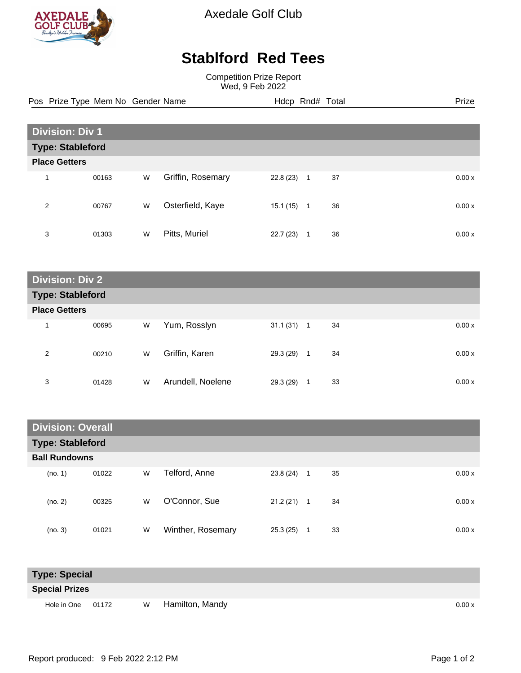

Axedale Golf Club

## **Stablford Red Tees**

Competition Prize Report Wed, 9 Feb 2022

Pos Prize Type Mem No Gender Name **Hdcp Rnd# Total** Prize Prize

| <b>Division: Div 1</b>  |       |   |                   |           |                |    |  |        |
|-------------------------|-------|---|-------------------|-----------|----------------|----|--|--------|
| <b>Type: Stableford</b> |       |   |                   |           |                |    |  |        |
| <b>Place Getters</b>    |       |   |                   |           |                |    |  |        |
| 4                       | 00163 | W | Griffin, Rosemary | 22.8(23)  | $\mathbf{1}$   | 37 |  | 0.00x  |
| 2                       | 00767 | W | Osterfield, Kaye  | 15.1 (15) | $\overline{1}$ | 36 |  | 0.00x  |
| 3                       | 01303 | W | Pitts, Muriel     | 22.7(23)  | 1              | 36 |  | 0.00 x |

| <b>Division: Div 2</b>  |                      |   |                   |           |              |    |  |       |
|-------------------------|----------------------|---|-------------------|-----------|--------------|----|--|-------|
| <b>Type: Stableford</b> |                      |   |                   |           |              |    |  |       |
|                         | <b>Place Getters</b> |   |                   |           |              |    |  |       |
| $\overline{\mathbf{A}}$ | 00695                | W | Yum, Rosslyn      | 31.1(31)  | $\mathbf{1}$ | 34 |  | 0.00x |
| 2                       | 00210                | W | Griffin, Karen    | 29.3 (29) | $\mathbf{1}$ | 34 |  | 0.00x |
| 3                       | 01428                | W | Arundell, Noelene | 29.3 (29) | 1            | 33 |  | 0.00x |

| <b>Division: Overall</b> |       |   |                   |          |                |    |  |       |
|--------------------------|-------|---|-------------------|----------|----------------|----|--|-------|
| <b>Type: Stableford</b>  |       |   |                   |          |                |    |  |       |
| <b>Ball Rundowns</b>     |       |   |                   |          |                |    |  |       |
| (no. 1)                  | 01022 | W | Telford, Anne     | 23.8(24) | $\overline{1}$ | 35 |  | 0.00x |
| (no. 2)                  | 00325 | W | O'Connor, Sue     | 21.2(21) | $\mathbf{1}$   | 34 |  | 0.00x |
| (no. 3)                  | 01021 | W | Winther, Rosemary | 25.3(25) | 1              | 33 |  | 0.00x |

| <b>Type: Special</b>  |  |   |                 |       |  |  |
|-----------------------|--|---|-----------------|-------|--|--|
| <b>Special Prizes</b> |  |   |                 |       |  |  |
| Hole in One 01172     |  | W | Hamilton, Mandy | 0.00x |  |  |